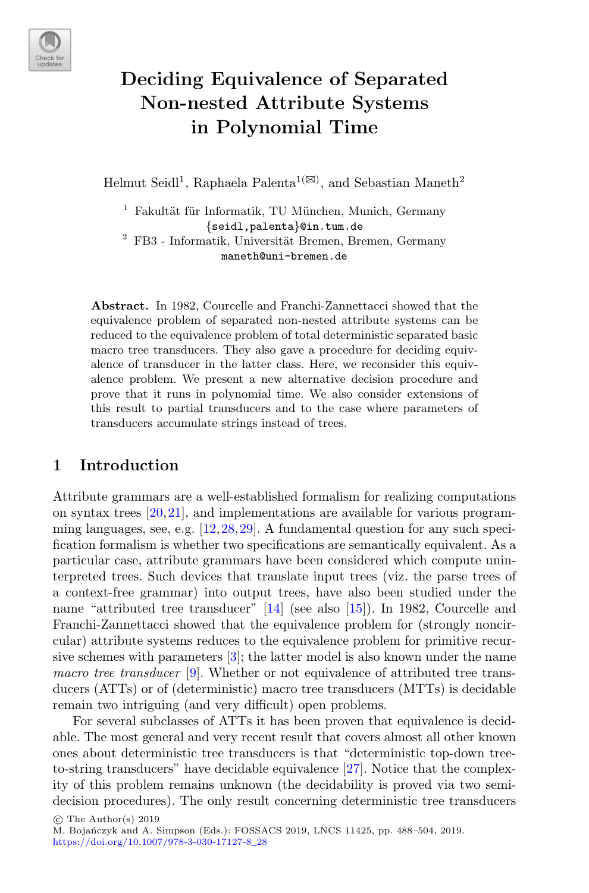

# **Deciding Equivalence of Separated Non-nested Attribute Systems in Polynomial Time**

Helmut Seidl<sup>1</sup>, Raphaela Palenta<sup>1( $\boxtimes$ )</sup>, and Sebastian Maneth<sup>2</sup>

 $^1\,$  Fakultät für Informatik, TU München, Munich, Germany {seidl,palenta}@in.tum.de <sup>2</sup> FB3 - Informatik, Universit¨at Bremen, Bremen, Germany maneth@uni-bremen.de

**Abstract.** In 1982, Courcelle and Franchi-Zannettacci showed that the equivalence problem of separated non-nested attribute systems can be reduced to the equivalence problem of total deterministic separated basic macro tree transducers. They also gave a procedure for deciding equivalence of transducer in the latter class. Here, we reconsider this equivalence problem. We present a new alternative decision procedure and prove that it runs in polynomial time. We also consider extensions of this result to partial transducers and to the case where parameters of transducers accumulate strings instead of trees.

### **1 Introduction**

Attribute grammars are a well-established formalism for realizing computations on syntax trees  $[20, 21]$  $[20, 21]$ , and implementations are available for various programming languages, see, e.g. [\[12](#page-15-2)[,28](#page-16-0),[29\]](#page-16-1). A fundamental question for any such specification formalism is whether two specifications are semantically equivalent. As a particular case, attribute grammars have been considered which compute uninterpreted trees. Such devices that translate input trees (viz. the parse trees of a context-free grammar) into output trees, have also been studied under the name "attributed tree transducer" [\[14](#page-15-3)] (see also [\[15\]](#page-15-4)). In 1982, Courcelle and Franchi-Zannettacci showed that the equivalence problem for (strongly noncircular) attribute systems reduces to the equivalence problem for primitive recursive schemes with parameters [\[3\]](#page-15-5); the latter model is also known under the name *macro tree transducer* [\[9\]](#page-15-6). Whether or not equivalence of attributed tree transducers (ATTs) or of (deterministic) macro tree transducers (MTTs) is decidable remain two intriguing (and very difficult) open problems.

For several subclasses of ATTs it has been proven that equivalence is decidable. The most general and very recent result that covers almost all other known ones about deterministic tree transducers is that "deterministic top-down treeto-string transducers" have decidable equivalence [\[27\]](#page-16-2). Notice that the complexity of this problem remains unknown (the decidability is proved via two semidecision procedures). The only result concerning deterministic tree transducers

-c The Author(s) 2019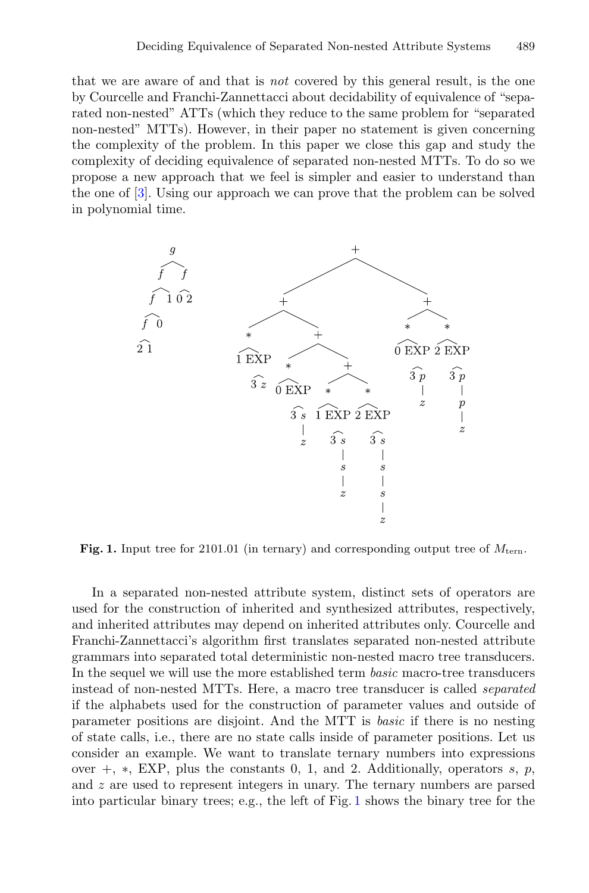that we are aware of and that is *not* covered by this general result, is the one by Courcelle and Franchi-Zannettacci about decidability of equivalence of "separated non-nested" ATTs (which they reduce to the same problem for "separated non-nested" MTTs). However, in their paper no statement is given concerning the complexity of the problem. In this paper we close this gap and study the complexity of deciding equivalence of separated non-nested MTTs. To do so we propose a new approach that we feel is simpler and easier to understand than the one of [\[3\]](#page-15-5). Using our approach we can prove that the problem can be solved in polynomial time.



<span id="page-1-0"></span>**Fig. 1.** Input tree for 2101.01 (in ternary) and corresponding output tree of  $M_{\text{tern}}$ .

In a separated non-nested attribute system, distinct sets of operators are used for the construction of inherited and synthesized attributes, respectively, and inherited attributes may depend on inherited attributes only. Courcelle and Franchi-Zannettacci's algorithm first translates separated non-nested attribute grammars into separated total deterministic non-nested macro tree transducers. In the sequel we will use the more established term *basic* macro-tree transducers instead of non-nested MTTs. Here, a macro tree transducer is called *separated* if the alphabets used for the construction of parameter values and outside of parameter positions are disjoint. And the MTT is *basic* if there is no nesting of state calls, i.e., there are no state calls inside of parameter positions. Let us consider an example. We want to translate ternary numbers into expressions over  $+, *$ , EXP, plus the constants 0, 1, and 2. Additionally, operators s, p, and z are used to represent integers in unary. The ternary numbers are parsed into particular binary trees; e.g., the left of Fig. [1](#page-1-0) shows the binary tree for the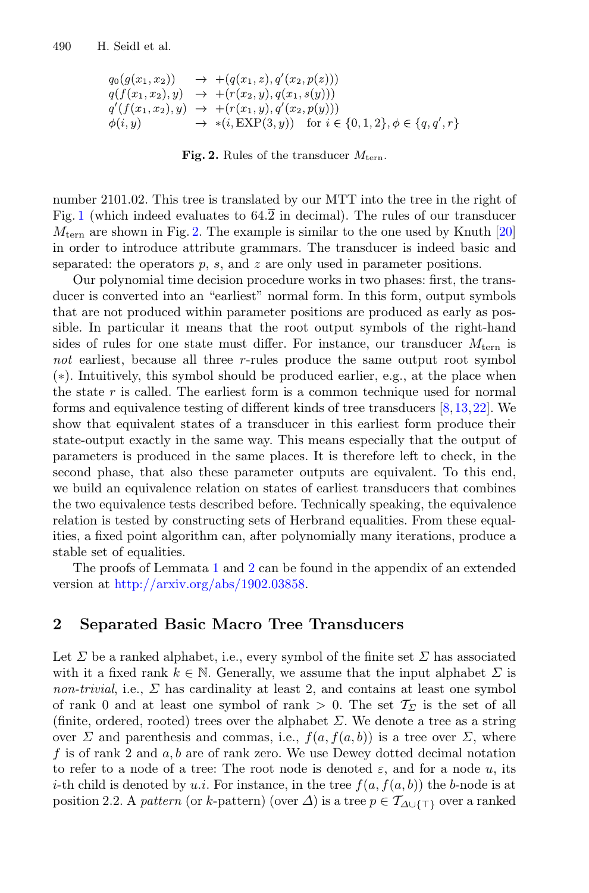$$
q_0(g(x_1, x_2)) \rightarrow +(q(x_1, z), q'(x_2, p(z)))
$$
  
\n
$$
q(f(x_1, x_2), y) \rightarrow +(r(x_2, y), q(x_1, s(y)))
$$
  
\n
$$
q'(f(x_1, x_2), y) \rightarrow +(r(x_1, y), q'(x_2, p(y)))
$$
  
\n
$$
\phi(i, y) \rightarrow * (i, \text{EXP}(3, y)) \text{ for } i \in \{0, 1, 2\}, \phi \in \{q, q', r\}
$$

<span id="page-2-0"></span>**Fig. 2.** Rules of the transducer  $M_{\text{tern}}$ .

number 2101.02. This tree is translated by our MTT into the tree in the right of Fig. [1](#page-1-0) (which indeed evaluates to  $64.\overline{2}$  in decimal). The rules of our transducer  $M_{\text{tern}}$  are shown in Fig. [2.](#page-2-0) The example is similar to the one used by Knuth [\[20](#page-15-0)] in order to introduce attribute grammars. The transducer is indeed basic and separated: the operators  $p$ ,  $s$ , and  $z$  are only used in parameter positions.

Our polynomial time decision procedure works in two phases: first, the transducer is converted into an "earliest" normal form. In this form, output symbols that are not produced within parameter positions are produced as early as possible. In particular it means that the root output symbols of the right-hand sides of rules for one state must differ. For instance, our transducer  $M_{\text{tern}}$  is *not* earliest, because all three r-rules produce the same output root symbol (∗). Intuitively, this symbol should be produced earlier, e.g., at the place when the state r is called. The earliest form is a common technique used for normal forms and equivalence testing of different kinds of tree transducers [\[8,](#page-15-7)[13](#page-15-8)[,22](#page-15-9)]. We show that equivalent states of a transducer in this earliest form produce their state-output exactly in the same way. This means especially that the output of parameters is produced in the same places. It is therefore left to check, in the second phase, that also these parameter outputs are equivalent. To this end, we build an equivalence relation on states of earliest transducers that combines the two equivalence tests described before. Technically speaking, the equivalence relation is tested by constructing sets of Herbrand equalities. From these equalities, a fixed point algorithm can, after polynomially many iterations, produce a stable set of equalities.

The proofs of Lemmata [1](#page-5-0) and [2](#page-6-0) can be found in the appendix of an extended version at [http://arxiv.org/abs/1902.03858.](http://arxiv.org/abs/1902.03858)

### **2 Separated Basic Macro Tree Transducers**

Let  $\Sigma$  be a ranked alphabet, i.e., every symbol of the finite set  $\Sigma$  has associated with it a fixed rank  $k \in \mathbb{N}$ . Generally, we assume that the input alphabet  $\Sigma$  is *non-trivial*, i.e.,  $\Sigma$  has cardinality at least 2, and contains at least one symbol of rank 0 and at least one symbol of rank  $> 0$ . The set  $\mathcal{T}_{\Sigma}$  is the set of all (finite, ordered, rooted) trees over the alphabet  $\Sigma$ . We denote a tree as a string over  $\Sigma$  and parenthesis and commas, i.e.,  $f(a, f(a, b))$  is a tree over  $\Sigma$ , where f is of rank 2 and  $a, b$  are of rank zero. We use Dewey dotted decimal notation to refer to a node of a tree: The root node is denoted  $\varepsilon$ , and for a node u, its *i*-th child is denoted by u.*i*. For instance, in the tree  $f(a, f(a, b))$  the *b*-node is at position 2.2. A *pattern* (or k-pattern) (over  $\Delta$ ) is a tree  $p \in \mathcal{T}_{\Delta \cup \{\top\}}$  over a ranked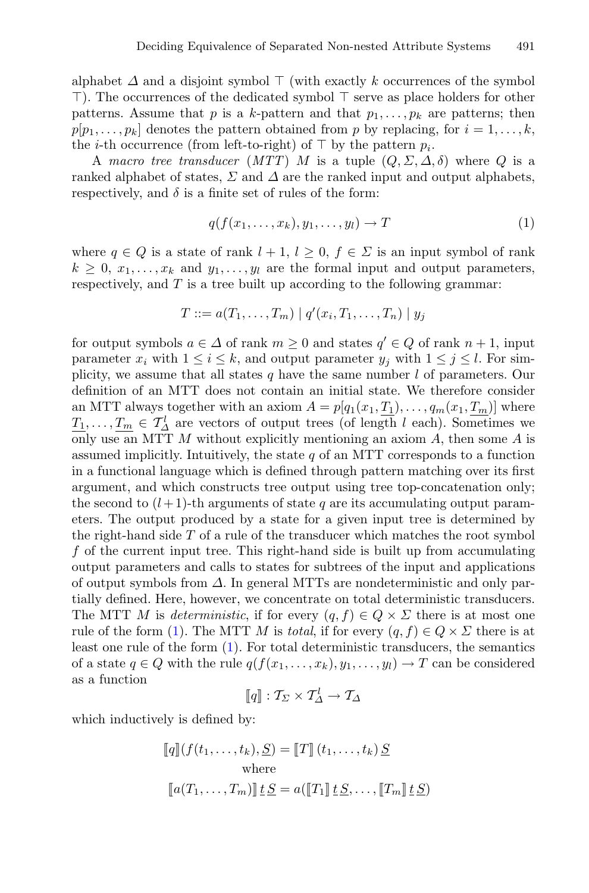alphabet  $\Delta$  and a disjoint symbol  $\top$  (with exactly k occurrences of the symbol  $\top$ ). The occurrences of the dedicated symbol  $\top$  serve as place holders for other patterns. Assume that p is a k-pattern and that  $p_1, \ldots, p_k$  are patterns; then  $p[p_1,\ldots,p_k]$  denotes the pattern obtained from p by replacing, for  $i=1,\ldots,k$ , the *i*-th occurrence (from left-to-right) of  $\top$  by the pattern  $p_i$ .

A *macro tree transducer*  $(MTT)$  M is a tuple  $(Q, \Sigma, \Delta, \delta)$  where Q is a ranked alphabet of states,  $\Sigma$  and  $\Delta$  are the ranked input and output alphabets, respectively, and  $\delta$  is a finite set of rules of the form:

<span id="page-3-0"></span>
$$
q(f(x_1,\ldots,x_k),y_1,\ldots,y_l)\to T
$$
\n(1)

where  $q \in Q$  is a state of rank  $l + 1$ ,  $l \geq 0$ ,  $f \in \Sigma$  is an input symbol of rank  $k \geq 0, x_1, \ldots, x_k$  and  $y_1, \ldots, y_l$  are the formal input and output parameters, respectively, and  $T$  is a tree built up according to the following grammar:

$$
T ::= a(T_1, ..., T_m) | q'(x_i, T_1, ..., T_n) | y_j
$$

for output symbols  $a \in \Delta$  of rank  $m \geq 0$  and states  $q' \in Q$  of rank  $n + 1$ , input parameter  $x_i$  with  $1 \le i \le k$ , and output parameter  $y_j$  with  $1 \le j \le l$ . For simplicity, we assume that all states q have the same number  $l$  of parameters. Our definition of an MTT does not contain an initial state. We therefore consider an MTT always together with an axiom  $A = p[q_1(x_1, T_1), \ldots, q_m(x_1, T_m)]$  where  $T_1,\ldots,T_m \in \mathcal{T}_{\Delta}^l$  are vectors of output trees (of length l each). Sometimes we only use an MTT  $M$  without explicitly mentioning an axiom  $A$ , then some  $A$  is assumed implicitly. Intuitively, the state  $q$  of an MTT corresponds to a function in a functional language which is defined through pattern matching over its first argument, and which constructs tree output using tree top-concatenation only; the second to  $(l+1)$ -th arguments of state q are its accumulating output parameters. The output produced by a state for a given input tree is determined by the right-hand side  $T$  of a rule of the transducer which matches the root symbol f of the current input tree. This right-hand side is built up from accumulating output parameters and calls to states for subtrees of the input and applications of output symbols from  $\Delta$ . In general MTTs are nondeterministic and only partially defined. Here, however, we concentrate on total deterministic transducers. The MTT M is *deterministic*, if for every  $(q, f) \in Q \times \Sigma$  there is at most one rule of the form [\(1\)](#page-3-0). The MTT M is *total*, if for every  $(q, f) \in Q \times \Sigma$  there is at least one rule of the form [\(1\)](#page-3-0). For total deterministic transducers, the semantics of a state  $q \in Q$  with the rule  $q(f(x_1,...,x_k), y_1,..., y_l) \to T$  can be considered as a function

$$
[\![q]\!]:\mathcal{T}_{\Sigma}\times\mathcal{T}_{\Delta}^l\rightarrow\mathcal{T}_{\Delta}
$$

which inductively is defined by:

$$
[\![q]\!](f(t_1,\ldots,t_k),\underline{S}) = [\![T]\!](t_1,\ldots,t_k)\,\underline{S}
$$
  
where  

$$
[\![a(T_1,\ldots,T_m)]\!](t)\,\underline{S} = a([\![T_1]\!](t)\,\underline{S},\ldots,[T_m]\!](t)\,\underline{S})
$$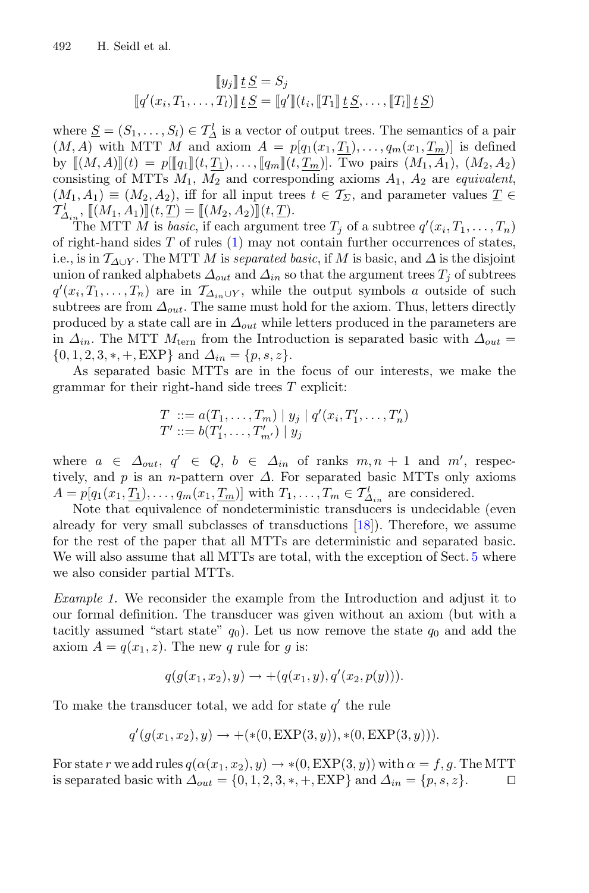$$
\llbracket y_j \rrbracket \underline{t} \underline{S} = S_j
$$

$$
\llbracket q'(x_i, T_1, \dots, T_l) \rrbracket \underline{t} \underline{S} = \llbracket q' \rrbracket (t_i, \llbracket T_1 \rrbracket \underline{t} \underline{S}, \dots, \llbracket T_l \rrbracket \underline{t} \underline{S})
$$

where  $S = (S_1, \ldots, S_l) \in T_{\Delta}^l$  is a vector of output trees. The semantics of a pair  $(M, A)$  with MTT M and axiom  $A = p[q_1(x_1, T_1), \ldots, q_m(x_1, T_m)]$  is defined by  $[(M, A)](t) = p[[q_1](t, \underline{T_1}), \ldots, [q_m](t, \underline{T_m})]$ . Two pairs  $(M_1, A_1), (M_2, A_2)$ consisting of MTTs  $M_1$ ,  $\overline{M_2}$  and corresponding axioms  $A_1$ ,  $A_2$  are *equivalent*,  $(M_1, A_1) \equiv (M_2, A_2)$ , iff for all input trees  $t \in \mathcal{T}_{\Sigma}$ , and parameter values  $\underline{T} \in$  $\mathcal{T}^l_{\Delta_{in}}$ ,  $\llbracket (M_1, A_1) \rrbracket (t, \underline{T}) = \llbracket (M_2, A_2) \rrbracket (t, \underline{T}).$ 

The MTT M is *basic*, if each argument tree  $T_j$  of a subtree  $q'(x_i, T_1, \ldots, T_n)$ of right-hand sides  $T$  of rules  $(1)$  may not contain further occurrences of states, i.e., is in  $\mathcal{T}_{\Delta\cup Y}$ . The MTT M is *separated basic*, if M is basic, and  $\Delta$  is the disjoint union of ranked alphabets  $\Delta_{out}$  and  $\Delta_{in}$  so that the argument trees  $T_i$  of subtrees  $q'(x_i, T_1, \ldots, T_n)$  are in  $\mathcal{T}_{\Delta_{in} \cup Y}$ , while the output symbols a outside of such subtrees are from  $\Delta_{out}$ . The same must hold for the axiom. Thus, letters directly produced by a state call are in  $\Delta_{out}$  while letters produced in the parameters are in  $\Delta_{in}$ . The MTT  $M_{\text{tern}}$  from the Introduction is separated basic with  $\Delta_{out}$  =  $\{0, 1, 2, 3, *, +, EXP\}$  and  $\Delta_{in} = \{p, s, z\}.$ 

As separated basic MTTs are in the focus of our interests, we make the grammar for their right-hand side trees  $T$  explicit:

$$
T ::= a(T_1, ..., T_m) | y_j | q'(x_i, T'_1, ..., T'_n)
$$
  
\n
$$
T' ::= b(T'_1, ..., T'_{m'}) | y_j
$$

where  $a \in \Delta_{out}$ ,  $q' \in Q$ ,  $b \in \Delta_{in}$  of ranks  $m, n + 1$  and  $m'$ , respectively, and p is an n-pattern over  $\Delta$ . For separated basic MTTs only axioms  $A = p[q_1(x_1, \underline{T_1}), \ldots, q_m(x_1, \underline{T_m})]$  with  $T_1, \ldots, T_m \in \underline{T}_{\Delta_{in}}^l$  are considered.

Note that equivalence of nondeterministic transducers is undecidable (even already for very small subclasses of transductions [\[18](#page-15-10)]). Therefore, we assume for the rest of the paper that all MTTs are deterministic and separated basic. We will also assume that all MTTs are total, with the exception of Sect. [5](#page-12-0) where we also consider partial MTTs.

*Example 1.* We reconsider the example from the Introduction and adjust it to our formal definition. The transducer was given without an axiom (but with a tacitly assumed "start state"  $q_0$ ). Let us now remove the state  $q_0$  and add the axiom  $A = q(x_1, z)$ . The new q rule for g is:

<span id="page-4-0"></span>
$$
q(g(x_1, x_2), y) \to +(q(x_1, y), q'(x_2, p(y))).
$$

To make the transducer total, we add for state  $q'$  the rule

$$
q'(g(x_1, x_2), y) \to +(*(0, \text{EXP}(3, y)), * (0, \text{EXP}(3, y))).
$$

For state r we add rules  $q(\alpha(x_1, x_2), y) \rightarrow *(0, EXP(3, y))$  with  $\alpha = f, g$ . The MTT is separated basic with  $\Delta_{out} = \{0, 1, 2, 3, *, +, EXP\}$  and  $\Delta_{in} = \{p, s, z\}$ . is separated basic with  $\Delta_{out} = \{0, 1, 2, 3, *, +, \text{EXP}\}\$ and  $\Delta_{in} = \{p, s, z\}.$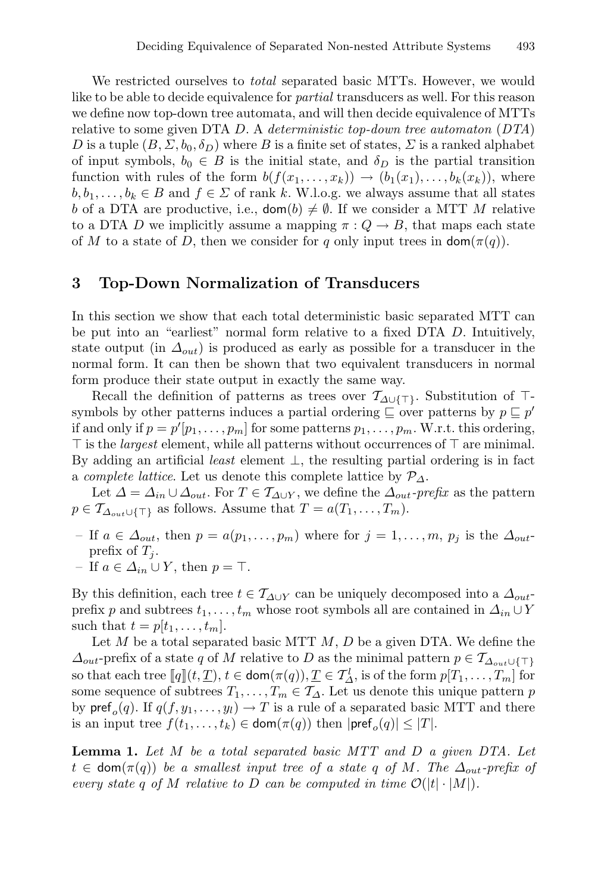We restricted ourselves to *total* separated basic MTTs. However, we would like to be able to decide equivalence for *partial* transducers as well. For this reason we define now top-down tree automata, and will then decide equivalence of MTTs relative to some given DTA D. A *deterministic top-down tree automaton* (*DTA*) D is a tuple  $(B, \Sigma, b_0, \delta_D)$  where B is a finite set of states,  $\Sigma$  is a ranked alphabet of input symbols,  $b_0 \in B$  is the initial state, and  $\delta_D$  is the partial transition function with rules of the form  $b(f(x_1,...,x_k)) \rightarrow (b_1(x_1),...,b_k(x_k))$ , where  $b, b_1, \ldots, b_k \in B$  and  $f \in \Sigma$  of rank k. W.l.o.g. we always assume that all states b of a DTA are productive, i.e.,  $\text{dom}(b) \neq \emptyset$ . If we consider a MTT M relative to a DTA D we implicitly assume a mapping  $\pi: Q \to B$ , that maps each state of M to a state of D, then we consider for q only input trees in  $\textsf{dom}(\pi(q))$ .

### **3 Top-Down Normalization of Transducers**

In this section we show that each total deterministic basic separated MTT can be put into an "earliest" normal form relative to a fixed DTA D. Intuitively, state output (in  $\Delta_{out}$ ) is produced as early as possible for a transducer in the normal form. It can then be shown that two equivalent transducers in normal form produce their state output in exactly the same way.

Recall the definition of patterns as trees over  $\mathcal{T}_{\Delta\cup\{\top\}}$ . Substitution of  $\top$ symbols by other patterns induces a partial ordering  $\subseteq$  over patterns by  $p \subseteq p'$ if and only if  $p = p'[p_1, \ldots, p_m]$  for some patterns  $p_1, \ldots, p_m$ . W.r.t. this ordering,  $\top$  is the *largest* element, while all patterns without occurrences of  $\top$  are minimal. By adding an artificial *least* element ⊥, the resulting partial ordering is in fact a *complete lattice*. Let us denote this complete lattice by  $\mathcal{P}_{\Delta}$ .

Let  $\Delta = \Delta_{in} \cup \Delta_{out}$ . For  $T \in \mathcal{T}_{\Delta \cup Y}$ , we define the  $\Delta_{out}$ -prefix as the pattern  $p \in \mathcal{T}_{\Delta_{out} \cup \{\top\}}$  as follows. Assume that  $T = a(T_1, \ldots, T_m)$ .

- If  $a \in \Delta_{out}$ , then  $p = a(p_1, \ldots, p_m)$  where for  $j = 1, \ldots, m, p_j$  is the  $\Delta_{out}$ prefix of  $T_i$ .
- If  $a \in \Delta_{in} \cup Y$ , then  $p = \top$ .

By this definition, each tree  $t \in \mathcal{T}_{\Delta \cup Y}$  can be uniquely decomposed into a  $\Delta_{out}$ prefix p and subtrees  $t_1, \ldots, t_m$  whose root symbols all are contained in  $\Delta_{in} \cup Y$ such that  $t = p[t_1, \ldots, t_m]$ .

Let  $M$  be a total separated basic MTT  $M, D$  be a given DTA. We define the  $\Delta_{out}$ -prefix of a state q of M relative to D as the minimal pattern  $p \in \mathcal{T}_{\Delta_{out} \cup \{\top\}}$ so that each tree  $[[q](t, \underline{T}), t \in \text{dom}(\pi(q)), \underline{T} \in \mathcal{T}_{\Delta}^l$ , is of the form  $p[T_1, \ldots, T_m]$  for some sequence of subtrees  $T_1, \ldots, T_m \in \mathcal{T}_\Delta$ . Let us denote this unique pattern p by  $\text{pref}_o(q)$ . If  $q(f,y_1,\ldots,y_l) \to T$  is a rule of a separated basic MTT and there is an input tree  $f(t_1,\ldots,t_k) \in \text{dom}(\pi(q))$  then  $|\text{pref}_o(q)| \leq |T|$ .

<span id="page-5-0"></span>**Lemma 1.** *Let* M *be a total separated basic MTT and* D *a given DTA. Let*  $t \in \text{dom}(\pi(q))$  *be a smallest input tree of a state q of M. The*  $\Delta_{out}$ -prefix of *every state* q of M *relative* to D *can be computed in time*  $\mathcal{O}(|t| \cdot |M|)$ *.*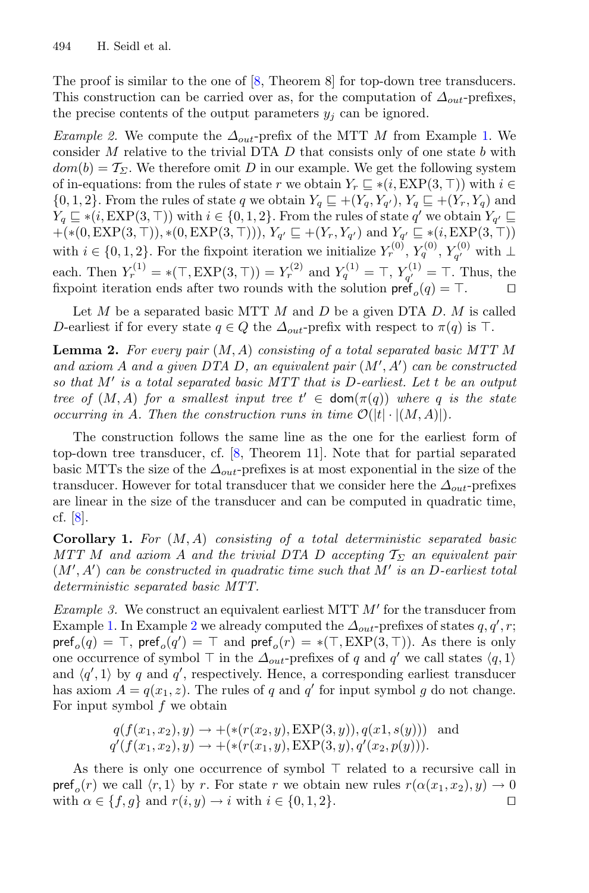The proof is similar to the one of  $[8,$  Theorem 8 for top-down tree transducers. This construction can be carried over as, for the computation of  $\Delta_{out}$ -prefixes, the precise contents of the output parameters  $y_i$  can be ignored.

<span id="page-6-1"></span>*Example 2.* We compute the  $\Delta_{out}$ -prefix of the MTT M from Example [1.](#page-4-0) We consider  $M$  relative to the trivial DTA  $D$  that consists only of one state  $b$  with  $dom(b) = T_{\Sigma}$ . We therefore omit D in our example. We get the following system of in-equations: from the rules of state r we obtain  $Y_r \subseteq * (i, EXP(3, \top))$  with  $i \in$  $\{0, 1, 2\}$ . From the rules of state q we obtain  $Y_q \sqsubseteq + (Y_q, Y_{q'})$ ,  $Y_q \sqsubseteq + (Y_r, Y_q)$  and  $Y_q \subseteq * (i, EXP(3, \top))$  with  $i \in \{0, 1, 2\}$ . From the rules of state q' we obtain  $Y_{q'} \subseteq$  $+(*(0, EXP(3, \top)), *(0, EXP(3, \top))), Y_{q'} \sqsubseteq +(Y_r, Y_{q'})$  and  $Y_{q'} \sqsubseteq * (i, EXP(3, \top))$ with  $i \in \{0, 1, 2\}$ . For the fixpoint iteration we initialize  $Y_r^{(0)}$ ,  $Y_q^{(0)}$ ,  $Y_{q'}^{(0)}$  with  $\perp$ each. Then  $Y_r^{(1)} = * (T, EXP(3, T)) = Y_r^{(2)}$  and  $Y_q^{(1)} = T, Y_{q'}^{(1)} = T$ . Thus, the fixpoint iteration ends after two rounds with the solution  $\text{pref}_o(q) = \top$ .

<span id="page-6-0"></span>Let  $M$  be a separated basic MTT  $M$  and  $D$  be a given DTA  $D$ .  $M$  is called D-earliest if for every state  $q \in Q$  the  $\Delta_{out}$ -prefix with respect to  $\pi(q)$  is T.

**Lemma 2.** *For every pair* (M,A) *consisting of a total separated basic MTT* M *and axiom* A *and a given DTA* D*, an equivalent pair* (M , A ) *can be constructed so that* M *is a total separated basic MTT that is* D*-earliest. Let* t *be an output tree of*  $(M, A)$  *for a smallest input tree*  $t' \in \text{dom}(\pi(q))$  *where* q *is the state occurring in* A. Then the construction runs in time  $\mathcal{O}(|t| \cdot |(M,A)|)$ .

The construction follows the same line as the one for the earliest form of top-down tree transducer, cf. [\[8](#page-15-7), Theorem 11]. Note that for partial separated basic MTTs the size of the  $\Delta_{out}$ -prefixes is at most exponential in the size of the transducer. However for total transducer that we consider here the  $\Delta_{out}$ -prefixes are linear in the size of the transducer and can be computed in quadratic time, cf. [\[8\]](#page-15-7).

<span id="page-6-2"></span>**Corollary 1.** *For* (M,A) *consisting of a total deterministic separated basic MTT M* and axiom A and the trivial DTA D accepting  $\mathcal{T}_{\Sigma}$  an equivalent pair  $(M', A')$  *can be constructed in quadratic time such that*  $M'$  *is an D-earliest total deterministic separated basic MTT.*

*Example 3.* We construct an equivalent earliest MTT  $M'$  for the transducer from Example [1.](#page-4-0) In Example [2](#page-6-1) we already computed the  $\Delta_{out}$ -prefixes of states  $q, q', r;$  $\mathsf{pref}_o(q) = \top$ ,  $\mathsf{pref}_o(q') = \top$  and  $\mathsf{pref}_o(r) = *(\top, \mathrm{EXP}(3, \top))$ . As there is only one occurrence of symbol  $\top$  in the  $\Delta_{out}$ -prefixes of q and q' we call states  $\langle q, 1 \rangle$ and  $\langle q', 1 \rangle$  by q and q', respectively. Hence, a corresponding earliest transducer has axiom  $A = q(x_1, z)$ . The rules of q and q' for input symbol g do not change. For input symbol f we obtain

$$
q(f(x_1, x_2), y) \rightarrow +(*(r(x_2, y), \text{EXP}(3, y)), q(x_1, s(y)))
$$
 and  
 $q'(f(x_1, x_2), y) \rightarrow +(*(r(x_1, y), \text{EXP}(3, y), q'(x_2, p(y))).$ 

As there is only one occurrence of symbol  $\top$  related to a recursive call in  $\mathsf{pref}_o(r)$  we call  $\langle r, 1 \rangle$  by r. For state r we obtain new rules  $r(\alpha(x_1, x_2), y) \to 0$  with  $\alpha \in \{f, a\}$  and  $r(i, y) \to i$  with  $i \in \{0, 1, 2\}$ . with  $\alpha \in \{f, g\}$  and  $r(i, y) \rightarrow i$  with  $i \in \{0, 1, 2\}$ .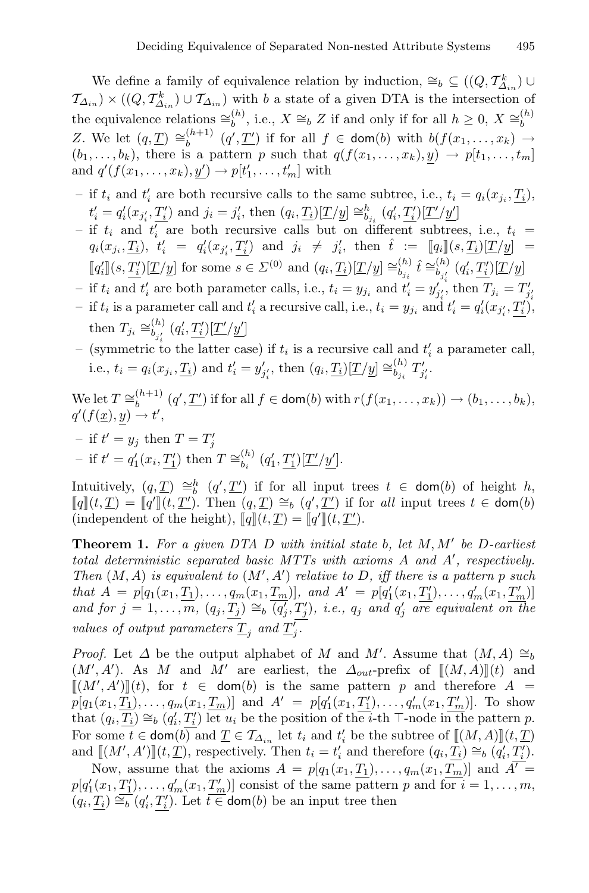We define a family of equivalence relation by induction,  $\cong_b \subseteq ((Q, \mathcal{T}_{\Delta_{in}}^k) \cup$  $\mathcal{T}_{\Delta_{in}}$ ) × ( $(Q, \mathcal{T}_{\Delta_{in}}^k) \cup \mathcal{T}_{\Delta_{in}}$ ) with b a state of a given DTA is the intersection of the equivalence relations  $\cong_b^{(h)}$ , i.e.,  $X \cong_b Z$  if and only if for all  $h \geq 0$ ,  $X \cong_b^{(h)}$ Z. We let  $(q, \underline{T}) \cong_b^{(h+1)} (q', \underline{T'})$  if for all  $f \in \text{dom}(b)$  with  $b(f(x_1, \ldots, x_k) \rightarrow$  $(b_1,\ldots,b_k)$ , there is a pattern p such that  $q(f(x_1,\ldots,x_k), y) \rightarrow p[t_1,\ldots,t_m]$ and  $q'(f(x_1,\ldots,x_k), \underline{y}') \rightarrow p[t'_1,\ldots,t'_m]$  with

- if  $t_i$  and  $t'_i$  are both recursive calls to the same subtree, i.e.,  $t_i = q_i(x_{j_i}, \underline{T_i})$ ,  $t'_{i} = q'_{i}(x_{j'_{i}}, \underline{T'_{i}})$  and  $j_{i} = j'_{i}$ , then  $(q_{i}, \underline{T_{i}})[\underline{T}/\underline{y}] \cong_{b_{j_{i}}}^{b} (q'_{i}, \underline{T'_{i}})[\underline{T'}/\underline{y'}]$
- if  $t_i$  and  $t'_i$  are both recursive calls but on different subtrees, i.e.,  $t_i$  =  $q_i(x_{j_i}, \underline{T_i}), t'_i = q'_i(x_{j'_i}, \underline{T'_i})$  and  $j_i \neq j'_i$ , then  $\hat{t} := [\![q_i]\!](s, \underline{T_i})[\underline{T/y}] =$  $\llbracket q'_i \rrbracket(s, \underline{T'_i})[\underline{T}/\underline{y}]$  for some  $s \in \Sigma^{(0)}$  and  $(q_i, \underline{T_i})[\underline{T}/\underline{y}] \cong_{b_{j_i}}^{(h)} \hat{t} \cong_{b_{j'_i}}^{(h)} (q'_i, \underline{T'_i})[\underline{T}/\underline{y}]$
- *i* and  $t'_i$  are both parameter calls, i.e.,  $t_i = y_{j_i}$  and  $t'_i = y'_{j'_i}$ , then  $T_{j_i} = T'_{j'_i}$
- find the is a parameter call and  $t'_i$  a recursive call, i.e.,  $t_i = y_{j_i}$  and  $t'_i = q'_i(x_{j'_i}, \underline{T'_i})$ , then  $T_{j_i} \cong_{b_{j'_i}}^{(h)} (q'_i, \underline{T'_i})[\underline{T'}/\underline{y'}]$
- (symmetric to the latter case) if  $t_i$  is a recursive call and  $t'_i$  a parameter call, i.e.,  $t_i = q_i(x_{j_i}, \underline{T_i})$  and  $t'_i = y'_{j'_i}$ , then  $(q_i, \underline{T_i})[\underline{T}/\underline{y}] \cong_{b_{j_i}}^{(h)} T'_{j'_i}$ .

We let  $T \cong_b^{(h+1)} (q', \underline{T'})$  if for all  $f \in \text{dom}(b)$  with  $r(f(x_1, \ldots, x_k)) \to (b_1, \ldots, b_k)$ ,  $q'(f(\underline{x}), \underline{y}) \to t',$ 

- if  $t' = y_j$  then  $T = T'_j$
- if  $t' = q'_1(x_i, \underline{T'_1})$  then  $T \cong_{b_i}^{(h)} (q'_1, \underline{T'_1})[\underline{T'}/\underline{y'}].$

Intuitively,  $(q, \underline{T}) \cong_b^h (q', \underline{T'})$  if for all input trees  $t \in \text{dom}(b)$  of height h,  $\llbracket q \rrbracket(t, \underline{T}') = \llbracket q' \rrbracket(t, \underline{T}')$ . Then  $(q, \underline{T}) \cong_b (q', \underline{T}')$  if for *all* input trees  $t \in \text{dom}(b)$ (independent of the height),  $\llbracket q \rrbracket (t, \underline{T}) = \llbracket q' \rrbracket (t, \underline{T}')$ .

**Theorem 1.** *For a given DTA* D *with initial state* b*, let* M,M *be* D*-earliest total deterministic separated basic MTTs with axioms* A *and* A *, respectively. Then*  $(M, A)$  *is equivalent to*  $(M', A')$  *relative to* D, *iff there is a pattern p such that*  $A = p[q_1(x_1, \underline{T_1}), \ldots, q_m(x_1, \underline{T_m})]$ *, and*  $A' = p[q'_1(x_1, \underline{T'_1}), \ldots, q'_m(x_1, \underline{T'_m})]$ *and for*  $j = 1, \ldots, m$ ,  $(q_j, \underline{T_j}) \cong_b (q'_j, T'_j)$ , *i.e.*,  $q_j$  *and*  $q'_j$  *are equivalent on the values of output parameters*  $\underline{T}_j$  *and*  $\underline{T}'_j$ *.* 

*Proof.* Let  $\Delta$  be the output alphabet of M and M'. Assume that  $(M, A) \cong_b$  $(M', A')$ . As M and M' are earliest, the  $\Delta_{out}$ -prefix of  $\llbracket (M, A) \rrbracket (t)$  and  $\llbracket (M', A') \rrbracket (t)$ , for  $t \in \text{dom}(b)$  is the same pattern p and therefore  $A =$  $p[q_1(x_1, \underline{T_1}), \ldots, q_m(x_1, \underline{T_m})]$  and  $A' = p[q'_1(x_1, \underline{T'_1}), \ldots, q'_m(x_1, \underline{T'_m})]$ . To show that  $(q_i, \underline{T_i}) \cong_b (q'_i, \underline{T'_i})$  let  $u_i$  be the position of the *i*-th  $\top$ -node in the pattern p. For some  $t \in \text{dom}(b)$  and  $\underline{T} \in \mathcal{T}_{\Delta_{in}}$  let  $t_i$  and  $t'_i$  be the subtree of  $\underline{\mathbb{I}}(M,A)\mathbb{I}(t,\underline{T})$ and  $[[(M', A')]](t, \underline{T})$ , respectively. Then  $t_i = t'_i$  and therefore  $(q_i, \underline{T_i}) \cong_b (q'_i, \underline{T'_i})$ .

Now, assume that the axioms  $A = p[q_1(x_1, \underline{T_1}), \ldots, q_m(x_1, \underline{T_m})]$  and  $\overline{A'} =$  $p[q'_1(x_1, \underline{T'_1}), \ldots, q'_m(x_1, \underline{T'_m})]$  consist of the same pattern p and for  $i = 1, \ldots, m$ ,  $(q_i, \underline{T_i}) \cong_b^{\sim}(q'_i, \underline{T'_i})$ . Let  $t \in \text{dom}(b)$  be an input tree then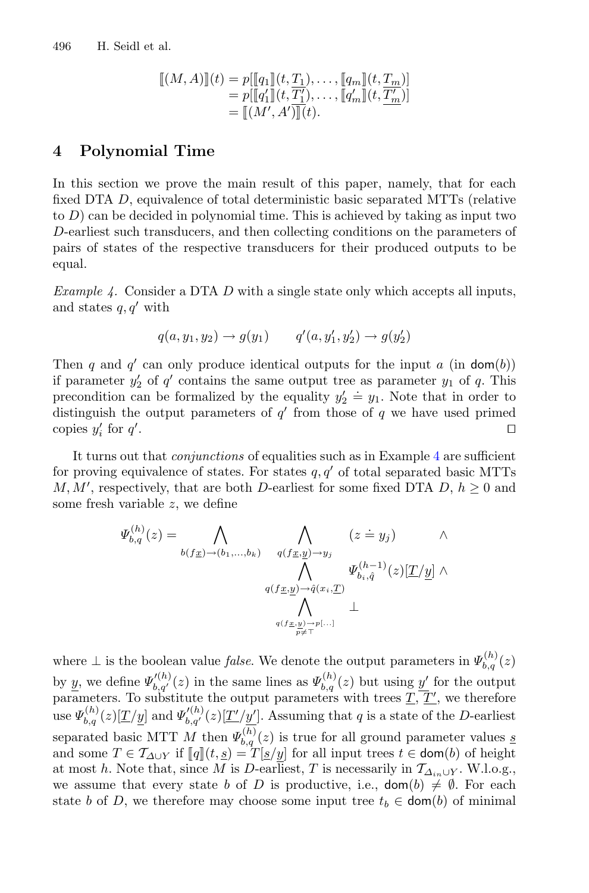$$
\begin{array}{llll} [[(M,A)]](t) = p[[q_1]](t,\underline{T_1}), \ldots, [[q_m]](t,\underline{T_m})]\\ = p[[q'_1]](t,\underline{T'_1}), \ldots, [[q'_m]](t,\underline{T'_m})]\\ = [[(M',A')]](t). \end{array}
$$

# <span id="page-8-1"></span>**4 Polynomial Time**

In this section we prove the main result of this paper, namely, that for each fixed DTA D, equivalence of total deterministic basic separated MTTs (relative to  $D$ ) can be decided in polynomial time. This is achieved by taking as input two D-earliest such transducers, and then collecting conditions on the parameters of pairs of states of the respective transducers for their produced outputs to be equal.

<span id="page-8-0"></span>*Example 4.* Consider a DTA D with a single state only which accepts all inputs, and states  $q, q'$  with

$$
q(a, y_1, y_2) \to g(y_1)
$$
  $q'(a, y'_1, y'_2) \to g(y'_2)$ 

Then q and q' can only produce identical outputs for the input  $a$  (in dom(b)) if parameter  $y_2'$  of  $q'$  contains the same output tree as parameter  $y_1$  of  $q$ . This precondition can be formalized by the equality  $y_2' \doteq y_1$ . Note that in order to distinguish the output parameters of  $q'$  from those of q we have used primed copies  $y_i'$  for  $q'$ . In the contract of the contract of the contract of the contract of the contract of the contract of the contract of the contract of the contract of the contract of the contract of the contract of the contract of the contr

It turns out that *conjunctions* of equalities such as in Example [4](#page-8-0) are sufficient for proving equivalence of states. For states  $q, q'$  of total separated basic MTTs  $M, M'$ , respectively, that are both D-earliest for some fixed DTA D,  $h \geq 0$  and some fresh variable z, we define

$$
\Psi_{b,q}^{(h)}(z) = \bigwedge_{b(f\underline{x}) \to (b_1, \dots, b_k)} \bigwedge_{q(f\underline{x}, \underline{y}) \to y_j} (z \doteq y_j) \qquad \wedge
$$

$$
\bigwedge_{q(f\underline{x}, \underline{y}) \to \hat{q}(x_i, \underline{T})} \Psi_{b_i, \hat{q}}^{(h-1)}(z)[\underline{T}/\underline{y}] \wedge
$$

$$
\bigwedge_{q(f\underline{x}, \underline{y}) \to p[\dots]} \perp
$$

where  $\perp$  is the boolean value *false*. We denote the output parameters in  $\Psi_{b,q}^{(h)}(z)$ by y, we define  $\Psi'_{b,q'}(z)$  in the same lines as  $\Psi_{b,q}^{(h)}(z)$  but using  $\underline{y'}$  for the output parameters. To substitute the output parameters with trees  $\underline{T}, \underline{T'}$ , we therefore use  $\Psi_{b,q}^{(h)}(z)[\underline{T}/y]$  and  $\Psi_{b,q'}^{(h)}(z)[\underline{T'}/y']$ . Assuming that q is a state of the D-earliest separated basic MTT M then  $\Psi_{b,q}^{(h)}(z)$  is true for all ground parameter values s and some  $T \in \mathcal{T}_{\Delta \cup Y}$  if  $[\![q]\!](t, \underline{s}) = T[\underline{s}/\underline{y}]$  for all input trees  $t \in \text{dom}(b)$  of height at most h. Note that, since M is D-earliest, T is necessarily in  $\mathcal{T}_{\Delta_{in}\cup Y}$ . W.l.o.g., we assume that every state b of D is productive, i.e.,  $\text{dom}(b) \neq \emptyset$ . For each state b of D, we therefore may choose some input tree  $t_b \in \text{dom}(b)$  of minimal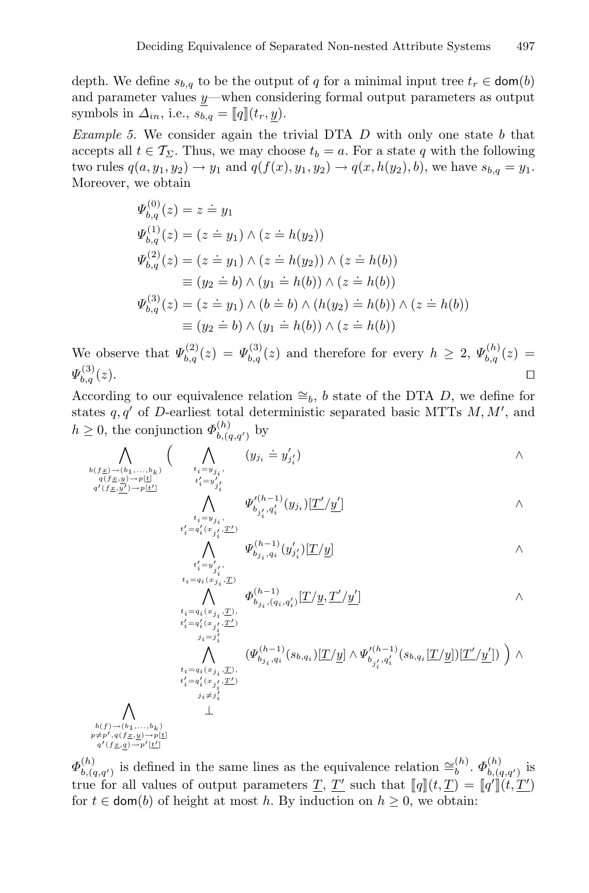depth. We define  $s_{b,q}$  to be the output of q for a minimal input tree  $t_r \in \text{dom}(b)$ and parameter values y—when considering formal output parameters as output symbols in  $\Delta_{in}$ , i.e.,  $s_{b,q} = [q](t_r, y)$ .

*Example 5.* We consider again the trivial DTA D with only one state b that accepts all  $t \in \mathcal{T}_{\Sigma}$ . Thus, we may choose  $t_b = a$ . For a state q with the following two rules  $q(a, y_1, y_2) \to y_1$  and  $q(f(x), y_1, y_2) \to q(x, h(y_2), b)$ , we have  $s_{b,q} = y_1$ . Moreover, we obtain

$$
\Psi_{b,q}^{(0)}(z) = z = y_1
$$
\n
$$
\Psi_{b,q}^{(1)}(z) = (z = y_1) \land (z = h(y_2))
$$
\n
$$
\Psi_{b,q}^{(2)}(z) = (z = y_1) \land (z = h(y_2)) \land (z = h(b))
$$
\n
$$
\equiv (y_2 = b) \land (y_1 = h(b)) \land (z = h(b))
$$
\n
$$
\Psi_{b,q}^{(3)}(z) = (z = y_1) \land (b = b) \land (h(y_2) = h(b)) \land (z = h(b))
$$
\n
$$
\equiv (y_2 = b) \land (y_1 = h(b)) \land (z = h(b))
$$

We observe that  $\Psi_{b,q}^{(2)}(z) = \Psi_{b,q}^{(3)}(z)$  and therefore for every  $h \geq 2$ ,  $\Psi_{b,q}^{(h)}(z) =$  $\Psi_{b,a}^{(3)}(z).$  $\mathcal{L}_{b,q}^{(0)}(z).$ 

According to our equivalence relation  $\cong_b$ , b state of the DTA D, we define for states  $q, q'$  of D-earliest total deterministic separated basic MTTs  $M, M'$ , and  $h \geq 0$ , the conjunction  $\Phi_{b,(q,q')}^{(h)}$  by

$$
\bigwedge_{\substack{b(f_{\underline{x}}) \to (b_1, \ldots, b_k) \\ q(f_{\underline{x}}, y) \to p[\underline{t}] \\ q'(f_{\underline{x}}, y') \to p[\underline{t}']} }\left( \bigwedge_{\substack{t_i = y_j \\ t'_i = y'_j \\ t'_i = y'_{j'_i}}} (y_{j_i} \doteq y'_{j'_i}) \right) \qquad \wedge
$$

$$
\bigwedge_{i=y_{j_i}}^{j_i}, \qquad \varPsi_{b_{j'_i},q'_i}^{\prime (h-1)}(y_{j_i})[\underline{T}'/\underline{y'}] \qquad \qquad \wedge
$$

$$
\bigwedge_{i_1'=y_{j_1}'}^{i_1=y_{j_1}'} \Psi_{b_{j_1},q_i}^{(h-1)}(y_{j_1'}')[\underline{T}/\underline{y}] \qquad \qquad \wedge
$$

$$
\bigwedge \limits_{t_i = q_i(x_{j_i},\underline{T})}^{t_i = y'_{j_i'}},\qquad \Phi^{(h-1)}_{b_{j_i},(q_i,q'_i)}[\underline{T}/\underline{y},\underline{T}'/\underline{y}'] \qquad \qquad \wedge \\\hspace{10mm} \bigwedge \limits_{t_i = q_i'(x_{j_i'},\underline{T}')}^{t_i = q_i'(x_{j_i'},\underline{T}')} \qquad \qquad \wedge
$$

$$
\sum_{\substack{j_i=j'_i\\ \vdots \\ t_i=q_i(x_{j_i},\underline{T})\\ t'_i=q'_i(x_{j'_i},\underline{T}')}} \left(\varPsi_{b_{j_i},q_i}^{(h-1)}(s_{b,q_i})[\underline{T}/\underline{y}] \wedge \varPsi_{b_{j'_i},q'_i}^{(h-1)}(s_{b,q_i}[\underline{T}/\underline{y}])[\underline{T}'/\underline{y}']) \right) \wedge \prod_{\substack{i_i=q'_i(x_{j'_i},\underline{T}')}} \left(\varPsi_{b_{j_i},q_i}^{(h-1)}(s_{b,q_i}[\underline{T}/\underline{y}])[\underline{T}'/\underline{y}']\right) \wedge \prod_{\substack{j_i \neq j'_i \\ \bot}} \left(\varPsi_{b_{j_i},q_i}^{(h-1)}(s_{b,q_i}[\underline{T}/\underline{y}])[\underline{T}'/\underline{y}']\right) \wedge \prod_{\substack{j_i \neq j'_i \\ \bot}} \left(\varPsi_{b_{j_i},q_i}^{(h-1)}(s_{b,q_i}[\underline{T}/\underline{y}])[\underline{T}'/\underline{y}']\right) \wedge \prod_{\substack{j_i \neq j'_i \\ \bot}} \left(\varPsi_{b_{j_i},q_i}^{(h-1)}(s_{b,q_i}[\underline{T}/\underline{y}])[\underline{T}'/\underline{y}']\right) \wedge \prod_{\substack{j_i \neq j'_i \\ \bot}} \left(\varPsi_{b_{j_i},q_i}^{(h-1)}(s_{b,q_i}[\underline{T}/\underline{y}])[\underline{T}'/\underline{y}']\right) \wedge \prod_{\substack{j_i \neq j'_i \\ \bot}} \left(\varPsi_{b_{j_i},q_i}^{(h-1)}(s_{b,q_i}[\underline{T}/\underline{y}])[\underline{T}'/\underline{y}']\right) \wedge \prod_{\substack{j_i \neq j'_i \\ \bot}} \left(\varPsi_{b_{j_i},q_i}^{(h-1)}(s_{b,q_i}[\underline{T}/\underline{y}])[\underline{T}'/\underline{y}']\right) \wedge \prod_{\substack{j_i \neq j'_i \\ \bot}} \left(\varPsi_{b_{j_i},q_i}^{(h-1)}(s_{b,q_i}[\underline{T}/\underline{y}])[\underline{T}'/\underline{y}']\right) \wedge \prod_{\substack{j_i \neq j'_i \\ \bot}} \left(\varPsi_{b_{j_i},q_i}^{(h-1)}(s_{b,q_i}[\underline{T}/
$$

 $\wedge$  $b(f) \rightarrow (b_1, \ldots, b_k)$ <br>  $p \neq p', q(f \underline{x}, \underline{y}) \rightarrow p[\underline{t}]$  $q'(f \underline{x}, \underline{q}) \rightarrow p'[\underline{t}']$ 

<span id="page-9-0"></span> $\Phi_{b,(q,q')}^{(h)}$  is defined in the same lines as the equivalence relation  $\cong_b^{(h)}$ .  $\Phi_{b,(q,q')}^{(h)}$  is true for all values of output parameters  $\underline{T}, \underline{T'}$  such that  $[\![q]\!](t,\underline{T}) = [\![q']\!](t,\underline{T'})$ for  $t \in \text{dom}(b)$  of height at most h. By induction on  $h \geq 0$ , we obtain: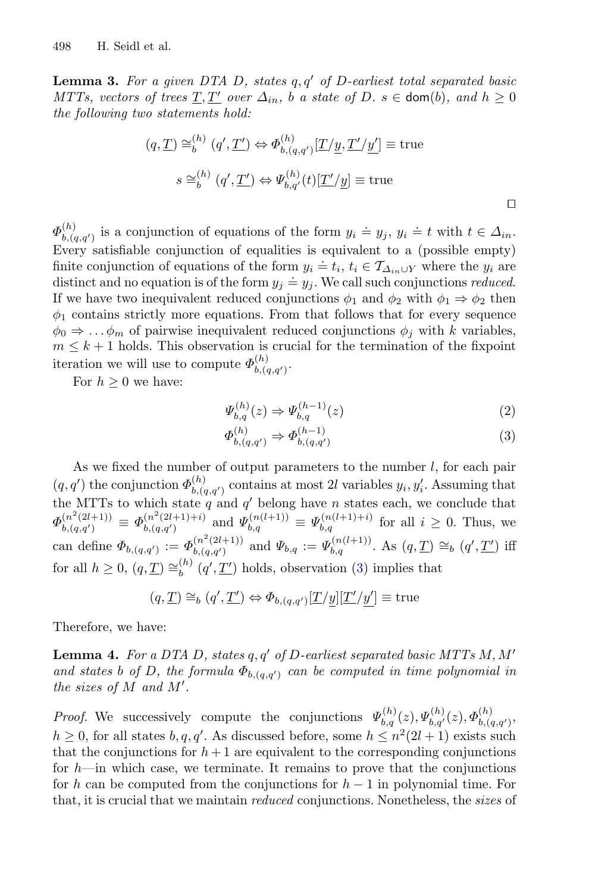**Lemma 3.** For a given DTA D, states  $q, q'$  of D-earliest total separated basic *MTTs, vectors of trees*  $T, T'$  *over*  $\Delta_{in}$ , *b a state of*  $D$ *.*  $s \in \text{dom}(b)$ *, and*  $h \geq 0$ *the following two statements hold:*

$$
(q, \underline{T}) \cong_b^{(h)} (q', \underline{T'}) \Leftrightarrow \Phi_{b, (q, q')}^{(h)} [\underline{T}/\underline{y}, \underline{T'}/\underline{y'}] \equiv \text{true}
$$
  

$$
s \cong_b^{(h)} (q', \underline{T'}) \Leftrightarrow \Psi_{b, q'}^{(h)}(t) [\underline{T'}/\underline{y}] \equiv \text{true}
$$

 $\Phi_{b,(q,q')}^{(h)}$  is a conjunction of equations of the form  $y_i \doteq y_j$ ,  $y_i \doteq t$  with  $t \in \Delta_{in}$ . Every satisfiable conjunction of equalities is equivalent to a (possible empty) finite conjunction of equations of the form  $y_i \doteq t_i$ ,  $t_i \in \mathcal{T}_{\Delta_{in} \cup Y}$  where the  $y_i$  are distinct and no equation is of the form  $y_j \doteq y_j$ . We call such conjunctions *reduced*. If we have two inequivalent reduced conjunctions  $\phi_1$  and  $\phi_2$  with  $\phi_1 \Rightarrow \phi_2$  then  $\phi_1$  contains strictly more equations. From that follows that for every sequence  $\phi_0 \Rightarrow \dots \phi_m$  of pairwise inequivalent reduced conjunctions  $\phi_i$  with k variables,  $m \leq k+1$  holds. This observation is crucial for the termination of the fixpoint iteration we will use to compute  $\Phi_{b,(q,q')}^{(h)}$ .

For  $h \geq 0$  we have:

$$
\Psi_{b,q}^{(h)}(z) \Rightarrow \Psi_{b,q}^{(h-1)}(z)
$$
\n(2)

<span id="page-10-0"></span>
$$
\Phi_{b,(q,q')}^{(h)} \Rightarrow \Phi_{b,(q,q')}^{(h-1)} \tag{3}
$$

As we fixed the number of output parameters to the number  $l$ , for each pair  $(q, q')$  the conjunction  $\Phi_{b, (q,q')}^{(h)}$  contains at most 2l variables  $y_i, y'_i$ . Assuming that the MTTs to which state q and  $q'$  belong have n states each, we conclude that  $\Phi_{b,(q,q')}^{(n^2(2l+1))} \equiv \Phi_{b,(q,q')}^{(n^2(2l+1)+i)}$  and  $\Psi_{b,q}^{(n(l+1))} \equiv \Psi_{b,q}^{(n(l+1)+i)}$  for all  $i \geq 0$ . Thus, we can define  $\Phi_{b,(q,q')} := \Phi_{b,(q,q')}^{(n^2(2l+1))}$  and  $\Psi_{b,q} := \Psi_{b,q}^{(n(l+1))}$ . As  $(q,\underline{T}) \cong_b (q',\underline{T}')$  iff for all  $h \geq 0$ ,  $(q, \underline{T}) \cong_b^{(h)} (q', \underline{T'})$  holds, observation [\(3\)](#page-10-0) implies that

$$
(q, \underline{T}) \cong_b (q', \underline{T'}) \Leftrightarrow \Phi_{b,(q,q')}[\underline{T}/\underline{y}][\underline{T'}/\underline{y'}] \equiv \text{true}
$$

<span id="page-10-1"></span>Therefore, we have:

**Lemma 4.** For a DTA D, states  $q, q'$  of D-earliest separated basic MTTs  $M, M'$ *and states* b of D, the formula  $\Phi_{b,(q,q')}$  can be computed in time polynomial in *the sizes of* M *and* M *.*

*Proof.* We successively compute the conjunctions  $\Psi_{b,q}^{(h)}(z), \Psi_{b,q'}^{(h)}(z), \Phi_{b,(q,q')}^{(h)}$  $h \geq 0$ , for all states  $b, q, q'$ . As discussed before, some  $h \leq n^2(2l+1)$  exists such that the conjunctions for  $h+1$  are equivalent to the corresponding conjunctions for  $h$ —in which case, we terminate. It remains to prove that the conjunctions for h can be computed from the conjunctions for  $h-1$  in polynomial time. For that, it is crucial that we maintain *reduced* conjunctions. Nonetheless, the *sizes* of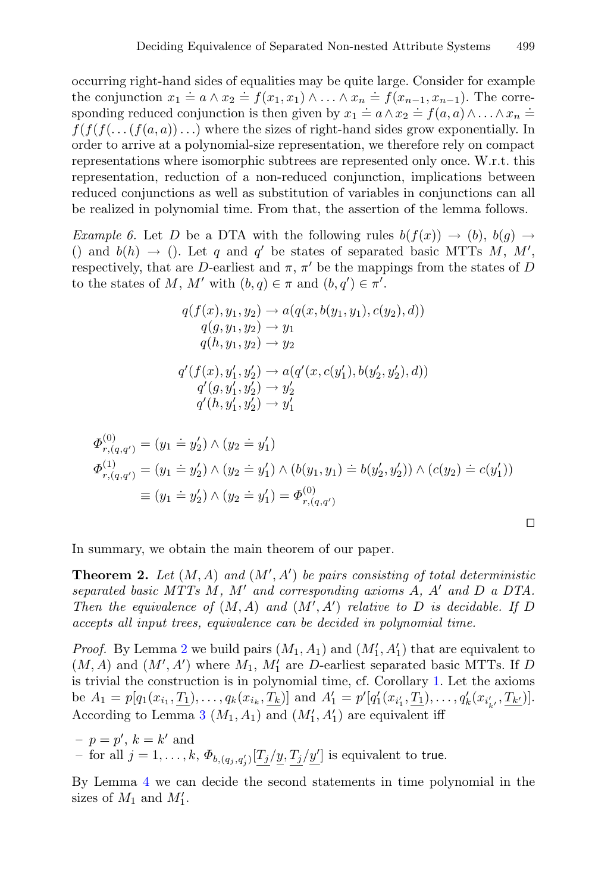occurring right-hand sides of equalities may be quite large. Consider for example the conjunction  $x_1 = a \wedge x_2 = f(x_1, x_1) \wedge \ldots \wedge x_n = f(x_{n-1}, x_{n-1})$ . The corresponding reduced conjunction is then given by  $x_1 = a \land x_2 = f(a, a) \land ... \land x_n =$  $f(f(f(\ldots(f(a, a))\ldots))$  where the sizes of right-hand sides grow exponentially. In order to arrive at a polynomial-size representation, we therefore rely on compact representations where isomorphic subtrees are represented only once. W.r.t. this representation, reduction of a non-reduced conjunction, implications between reduced conjunctions as well as substitution of variables in conjunctions can all be realized in polynomial time. From that, the assertion of the lemma follows.

*Example 6.* Let D be a DTA with the following rules  $b(f(x)) \rightarrow (b), b(g) \rightarrow$ () and  $b(h) \rightarrow$  (). Let q and q' be states of separated basic MTTs M, M', respectively, that are D-earliest and  $\pi$ ,  $\pi'$  be the mappings from the states of D to the states of M, M' with  $(b,q) \in \pi$  and  $(b,q') \in \pi'$ .

$$
q(f(x), y_1, y_2) \rightarrow a(q(x, b(y_1, y_1), c(y_2), d))
$$
  
\n
$$
q(g, y_1, y_2) \rightarrow y_1
$$
  
\n
$$
q(h, y_1, y_2) \rightarrow y_2
$$
  
\n
$$
q'(f(x), y'_1, y'_2) \rightarrow a(q'(x, c(y'_1), b(y'_2, y'_2), d))
$$
  
\n
$$
q'(g, y'_1, y'_2) \rightarrow y'_2
$$
  
\n
$$
q'(h, y'_1, y'_2) \rightarrow y'_1
$$

$$
\Phi_{r,(q,q')}^{(0)} = (y_1 \doteq y_2') \land (y_2 \doteq y_1')
$$
\n
$$
\Phi_{r,(q,q')}^{(1)} = (y_1 \doteq y_2') \land (y_2 \doteq y_1') \land (b(y_1, y_1) \doteq b(y_2', y_2')) \land (c(y_2) \doteq c(y_1'))
$$
\n
$$
\equiv (y_1 \doteq y_2') \land (y_2 \doteq y_1') = \Phi_{r,(q,q')}^{(0)}
$$

In summary, we obtain the main theorem of our paper.

**Theorem 2.** *Let* (M,A) *and* (M , A ) *be pairs consisting of total deterministic separated basic MTTs* M*,* M *and corresponding axioms* A*,* A *and* D *a DTA. Then the equivalence of*  $(M, A)$  *and*  $(M', A')$  *relative to* D *is decidable. If* D *accepts all input trees, equivalence can be decided in polynomial time.*

*Proof.* By Lemma [2](#page-6-0) we build pairs  $(M_1, A_1)$  and  $(M'_1, A'_1)$  that are equivalent to  $(M, A)$  and  $(M', A')$  where  $M_1, M'_1$  are D-earliest separated basic MTTs. If D is trivial the construction is in polynomial time, cf. Corollary [1.](#page-6-2) Let the axioms be  $A_1 = p[q_1(x_{i_1}, \underline{T_1}), \ldots, q_k(x_{i_k}, \underline{T_k})]$  and  $A'_1 = p'[q'_1(x_{i'_1}, \underline{T_1}), \ldots, q'_k(x_{i'_{k'}}, \underline{T_{k'}})].$ According to Lemma [3](#page-9-0)  $(M_1, A_1)$  and  $(M'_1, A'_1)$  are equivalent iff

 $-p = p', k = k'$  and - for all  $j = 1, ..., k$ ,  $\Phi_{b,(q_j,q'_j)}[\underline{T_j}/\underline{y}, \underline{T_j}/\underline{y'}]$  is equivalent to true.

By Lemma [4](#page-10-1) we can decide the second statements in time polynomial in the sizes of  $M_1$  and  $M'_1$ .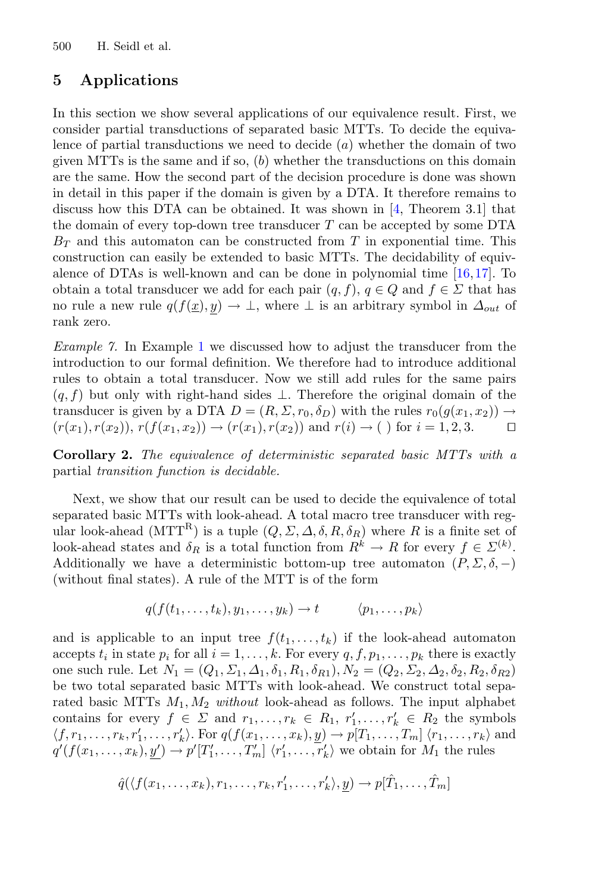# <span id="page-12-0"></span>**5 Applications**

In this section we show several applications of our equivalence result. First, we consider partial transductions of separated basic MTTs. To decide the equivalence of partial transductions we need to decide  $(a)$  whether the domain of two given MTTs is the same and if so,  $(b)$  whether the transductions on this domain are the same. How the second part of the decision procedure is done was shown in detail in this paper if the domain is given by a DTA. It therefore remains to discuss how this DTA can be obtained. It was shown in [\[4](#page-15-11), Theorem 3.1] that the domain of every top-down tree transducer  $T$  can be accepted by some DTA  $B_T$  and this automaton can be constructed from T in exponential time. This construction can easily be extended to basic MTTs. The decidability of equivalence of DTAs is well-known and can be done in polynomial time  $[16,17]$  $[16,17]$  $[16,17]$ . To obtain a total transducer we add for each pair  $(q, f)$ ,  $q \in Q$  and  $f \in \Sigma$  that has no rule a new rule  $q(f(\underline{x}), y) \to \bot$ , where  $\bot$  is an arbitrary symbol in  $\Delta_{out}$  of rank zero.

*Example 7.* In Example [1](#page-4-0) we discussed how to adjust the transducer from the introduction to our formal definition. We therefore had to introduce additional rules to obtain a total transducer. Now we still add rules for the same pairs  $(q, f)$  but only with right-hand sides  $\perp$ . Therefore the original domain of the transducer is given by a DTA  $D = (R, \Sigma, r_0, \delta_D)$  with the rules  $r_0(g(x_1, x_2)) \rightarrow (r(x_1) r(x_2)) r(f(x_1, x_2)) \rightarrow (r(x_1) r(x_2))$  and  $r(i) \rightarrow ( )$  for  $i = 1, 2, 3$  $(r(x_1), r(x_2)), r(f(x_1, x_2)) \rightarrow (r(x_1), r(x_2))$  and  $r(i) \rightarrow$  ( ) for  $i = 1, 2, 3$ .

**Corollary 2.** *The equivalence of deterministic separated basic MTTs with a* partial *transition function is decidable.*

Next, we show that our result can be used to decide the equivalence of total separated basic MTTs with look-ahead. A total macro tree transducer with regular look-ahead (MTT<sup>R</sup>) is a tuple  $(Q, \Sigma, \Delta, \delta, R, \delta_R)$  where R is a finite set of look-ahead states and  $\delta_R$  is a total function from  $R^k \to R$  for every  $f \in \Sigma^{(k)}$ . Additionally we have a deterministic bottom-up tree automaton  $(P, \Sigma, \delta, -)$ (without final states). A rule of the MTT is of the form

$$
q(f(t_1,\ldots,t_k),y_1,\ldots,y_k)\to t \qquad \langle p_1,\ldots,p_k\rangle
$$

and is applicable to an input tree  $f(t_1,\ldots,t_k)$  if the look-ahead automaton accepts  $t_i$  in state  $p_i$  for all  $i = 1, \ldots, k$ . For every  $q, f, p_1, \ldots, p_k$  there is exactly one such rule. Let  $N_1 = (Q_1, \Sigma_1, \Delta_1, \delta_1, R_1, \delta_{R1}), N_2 = (Q_2, \Sigma_2, \Delta_2, \delta_2, R_2, \delta_{R2})$ be two total separated basic MTTs with look-ahead. We construct total separated basic MTTs M1, M<sup>2</sup> *without* look-ahead as follows. The input alphabet contains for every  $f \in \Sigma$  and  $r_1, \ldots, r_k \in R_1, r'_1, \ldots, r'_k \in R_2$  the symbols  $\langle f, r_1,\ldots,r_k,r'_1,\ldots,r'_k\rangle$ . For  $q(f(x_1,\ldots,x_k),\underline{y})\to p[T_1,\ldots,T_m]$   $\langle r_1,\ldots,r_k\rangle$  and  $q'(f(x_1,\ldots,x_k),\underline{y'}) \to p'[T'_1,\ldots,T'_m] \langle r'_1,\ldots,r'_k\rangle$  we obtain for  $M_1$  the rules

$$
\hat{q}(\langle f(x_1,\ldots,x_k),r_1,\ldots,r_k,r'_1,\ldots,r'_k\rangle,\underline{y})\to p[\hat{T}_1,\ldots,\hat{T}_m]
$$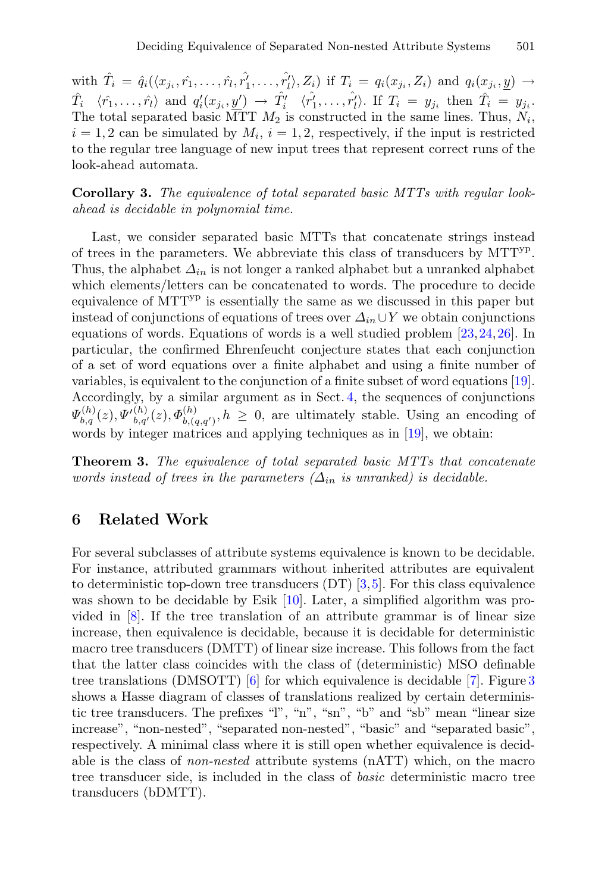with  $\hat{T}_i = \hat{q}_i(\langle x_{j_i}, \hat{r}_1, \dots, \hat{r}_l, \hat{r}_1', \dots, \hat{r_l'}\rangle, Z_i)$  if  $T_i = q_i(x_{j_i}, Z_i)$  and  $q_i(x_{j_i}, \underline{y}) \rightarrow$  $\hat{T}_i$   $\langle \hat{r}_1,\ldots,\hat{r}_l \rangle$  and  $q'_i(x_{j_i},y') \rightarrow \hat{T}'_i$   $\langle \hat{r_1'},\ldots,\hat{r_l'} \rangle$ . If  $T_i = y_{j_i}$  then  $\hat{T}_i = y_{j_i}$ . The total separated basic MTT  $M_2$  is constructed in the same lines. Thus,  $N_i$ ,  $i = 1, 2$  can be simulated by  $M_i$ ,  $i = 1, 2$ , respectively, if the input is restricted to the regular tree language of new input trees that represent correct runs of the look-ahead automata.

**Corollary 3.** *The equivalence of total separated basic MTTs with regular lookahead is decidable in polynomial time.*

Last, we consider separated basic MTTs that concatenate strings instead of trees in the parameters. We abbreviate this class of transducers by MTTyp. Thus, the alphabet  $\Delta_{in}$  is not longer a ranked alphabet but a unranked alphabet which elements/letters can be concatenated to words. The procedure to decide equivalence of MTTyp is essentially the same as we discussed in this paper but instead of conjunctions of equations of trees over  $\Delta_{in} \cup Y$  we obtain conjunctions equations of words. Equations of words is a well studied problem [\[23,](#page-16-3)[24,](#page-16-4)[26](#page-16-5)]. In particular, the confirmed Ehrenfeucht conjecture states that each conjunction of a set of word equations over a finite alphabet and using a finite number of variables, is equivalent to the conjunction of a finite subset of word equations [\[19\]](#page-15-14). Accordingly, by a similar argument as in Sect. [4,](#page-8-1) the sequences of conjunctions  $\Psi_{b,q}^{(h)}(z), \Psi_{b,q'}^{(h)}(z), \Phi_{b,(q,q')}^{(h)}, h \geq 0$ , are ultimately stable. Using an encoding of words by integer matrices and applying techniques as in [\[19](#page-15-14)], we obtain:

**Theorem 3.** *The equivalence of total separated basic MTTs that concatenate words instead of trees in the parameters*  $(\Delta_{in}$  *is unranked) is decidable.* 

# **6 Related Work**

For several subclasses of attribute systems equivalence is known to be decidable. For instance, attributed grammars without inherited attributes are equivalent to deterministic top-down tree transducers  $(DT)$  [\[3](#page-15-5)[,5](#page-15-15)]. For this class equivalence was shown to be decidable by Esik [\[10](#page-15-16)]. Later, a simplified algorithm was provided in [\[8](#page-15-7)]. If the tree translation of an attribute grammar is of linear size increase, then equivalence is decidable, because it is decidable for deterministic macro tree transducers (DMTT) of linear size increase. This follows from the fact that the latter class coincides with the class of (deterministic) MSO definable tree translations (DMSOTT) [\[6](#page-15-17)] for which equivalence is decidable [\[7\]](#page-15-18). Figure [3](#page-14-0) shows a Hasse diagram of classes of translations realized by certain deterministic tree transducers. The prefixes "l", "n", "sn", "b" and "sb" mean "linear size increase", "non-nested", "separated non-nested", "basic" and "separated basic", respectively. A minimal class where it is still open whether equivalence is decidable is the class of *non-nested* attribute systems (nATT) which, on the macro tree transducer side, is included in the class of *basic* deterministic macro tree transducers (bDMTT).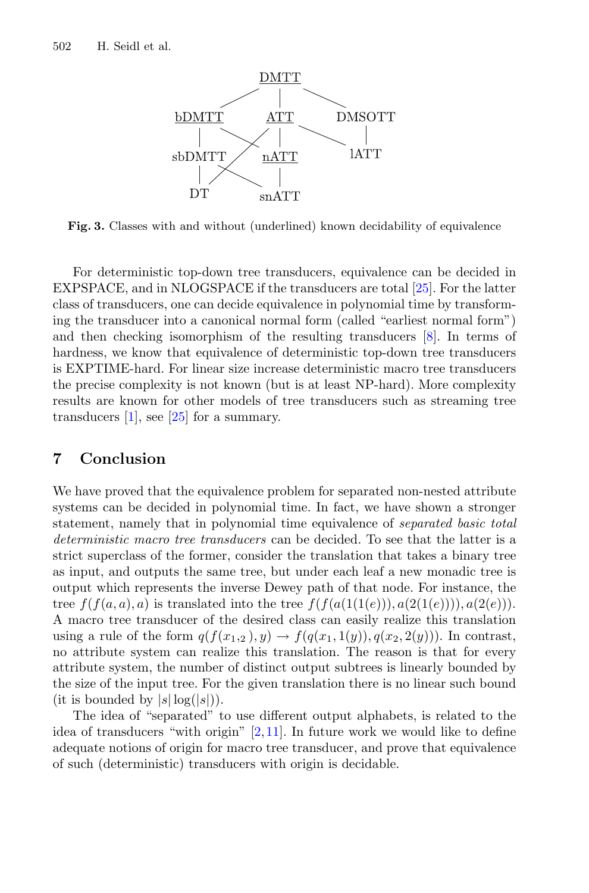<span id="page-14-0"></span>

**Fig. 3.** Classes with and without (underlined) known decidability of equivalence

For deterministic top-down tree transducers, equivalence can be decided in EXPSPACE, and in NLOGSPACE if the transducers are total [\[25](#page-16-6)]. For the latter class of transducers, one can decide equivalence in polynomial time by transforming the transducer into a canonical normal form (called "earliest normal form") and then checking isomorphism of the resulting transducers [\[8](#page-15-7)]. In terms of hardness, we know that equivalence of deterministic top-down tree transducers is EXPTIME-hard. For linear size increase deterministic macro tree transducers the precise complexity is not known (but is at least NP-hard). More complexity results are known for other models of tree transducers such as streaming tree transducers  $[1]$  $[1]$ , see  $[25]$  $[25]$  for a summary.

### **7 Conclusion**

We have proved that the equivalence problem for separated non-nested attribute systems can be decided in polynomial time. In fact, we have shown a stronger statement, namely that in polynomial time equivalence of *separated basic total deterministic macro tree transducers* can be decided. To see that the latter is a strict superclass of the former, consider the translation that takes a binary tree as input, and outputs the same tree, but under each leaf a new monadic tree is output which represents the inverse Dewey path of that node. For instance, the tree  $f(f(a, a), a)$  is translated into the tree  $f(f(a(1(1(e))), a(2(1(e))))$ ,  $a(2(e))$ . A macro tree transducer of the desired class can easily realize this translation using a rule of the form  $q(f(x_1,2), y) \rightarrow f(q(x_1,1(y)), q(x_2,2(y)))$ . In contrast, no attribute system can realize this translation. The reason is that for every attribute system, the number of distinct output subtrees is linearly bounded by the size of the input tree. For the given translation there is no linear such bound (it is bounded by  $|s| \log(|s|)$ ).

The idea of "separated" to use different output alphabets, is related to the idea of transducers "with origin"  $[2,11]$  $[2,11]$ . In future work we would like to define adequate notions of origin for macro tree transducer, and prove that equivalence of such (deterministic) transducers with origin is decidable.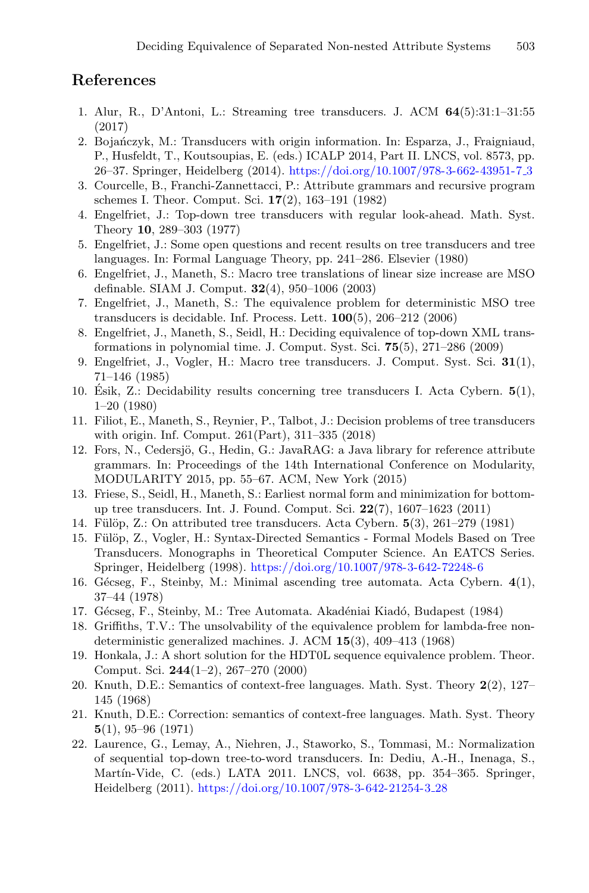# **References**

- <span id="page-15-19"></span>1. Alur, R., D'Antoni, L.: Streaming tree transducers. J. ACM **64**(5):31:1–31:55 (2017)
- <span id="page-15-20"></span>2. Bojańczyk, M.: Transducers with origin information. In: Esparza, J., Fraigniaud, P., Husfeldt, T., Koutsoupias, E. (eds.) ICALP 2014, Part II. LNCS, vol. 8573, pp. 26–37. Springer, Heidelberg (2014). [https://doi.org/10.1007/978-3-662-43951-7](https://doi.org/10.1007/978-3-662-43951-7_3) 3
- <span id="page-15-5"></span>3. Courcelle, B., Franchi-Zannettacci, P.: Attribute grammars and recursive program schemes I. Theor. Comput. Sci. **17**(2), 163–191 (1982)
- <span id="page-15-11"></span>4. Engelfriet, J.: Top-down tree transducers with regular look-ahead. Math. Syst. Theory **10**, 289–303 (1977)
- <span id="page-15-15"></span>5. Engelfriet, J.: Some open questions and recent results on tree transducers and tree languages. In: Formal Language Theory, pp. 241–286. Elsevier (1980)
- <span id="page-15-17"></span>6. Engelfriet, J., Maneth, S.: Macro tree translations of linear size increase are MSO definable. SIAM J. Comput. **32**(4), 950–1006 (2003)
- <span id="page-15-18"></span>7. Engelfriet, J., Maneth, S.: The equivalence problem for deterministic MSO tree transducers is decidable. Inf. Process. Lett. **100**(5), 206–212 (2006)
- <span id="page-15-7"></span>8. Engelfriet, J., Maneth, S., Seidl, H.: Deciding equivalence of top-down XML transformations in polynomial time. J. Comput. Syst. Sci. **75**(5), 271–286 (2009)
- <span id="page-15-6"></span>9. Engelfriet, J., Vogler, H.: Macro tree transducers. J. Comput. Syst. Sci. **31**(1), 71–146 (1985)
- <span id="page-15-16"></span>10. Esik, Z.: Decidability results concerning tree transducers I. Acta Cybern. ´ **5**(1), 1–20 (1980)
- <span id="page-15-21"></span>11. Filiot, E., Maneth, S., Reynier, P., Talbot, J.: Decision problems of tree transducers with origin. Inf. Comput. 261(Part), 311–335 (2018)
- <span id="page-15-2"></span>12. Fors, N., Cedersjö, G., Hedin, G.: JavaRAG: a Java library for reference attribute grammars. In: Proceedings of the 14th International Conference on Modularity, MODULARITY 2015, pp. 55–67. ACM, New York (2015)
- <span id="page-15-8"></span>13. Friese, S., Seidl, H., Maneth, S.: Earliest normal form and minimization for bottomup tree transducers. Int. J. Found. Comput. Sci. **22**(7), 1607–1623 (2011)
- <span id="page-15-3"></span>14. F¨ul¨op, Z.: On attributed tree transducers. Acta Cybern. **5**(3), 261–279 (1981)
- <span id="page-15-4"></span>15. Fülöp, Z., Vogler, H.: Syntax-Directed Semantics - Formal Models Based on Tree Transducers. Monographs in Theoretical Computer Science. An EATCS Series. Springer, Heidelberg (1998). <https://doi.org/10.1007/978-3-642-72248-6>
- <span id="page-15-12"></span>16. Gécseg, F., Steinby, M.: Minimal ascending tree automata. Acta Cybern. 4(1), 37–44 (1978)
- <span id="page-15-13"></span>17. Gécseg, F., Steinby, M.: Tree Automata. Akadéniai Kiadó, Budapest (1984)
- <span id="page-15-10"></span>18. Griffiths, T.V.: The unsolvability of the equivalence problem for lambda-free nondeterministic generalized machines. J. ACM **15**(3), 409–413 (1968)
- <span id="page-15-14"></span>19. Honkala, J.: A short solution for the HDT0L sequence equivalence problem. Theor. Comput. Sci. **244**(1–2), 267–270 (2000)
- <span id="page-15-0"></span>20. Knuth, D.E.: Semantics of context-free languages. Math. Syst. Theory **2**(2), 127– 145 (1968)
- <span id="page-15-1"></span>21. Knuth, D.E.: Correction: semantics of context-free languages. Math. Syst. Theory **5**(1), 95–96 (1971)
- <span id="page-15-9"></span>22. Laurence, G., Lemay, A., Niehren, J., Staworko, S., Tommasi, M.: Normalization of sequential top-down tree-to-word transducers. In: Dediu, A.-H., Inenaga, S., Martín-Vide, C. (eds.) LATA 2011. LNCS, vol. 6638, pp. 354–365. Springer, Heidelberg (2011). [https://doi.org/10.1007/978-3-642-21254-3](https://doi.org/10.1007/978-3-642-21254-3_28) 28